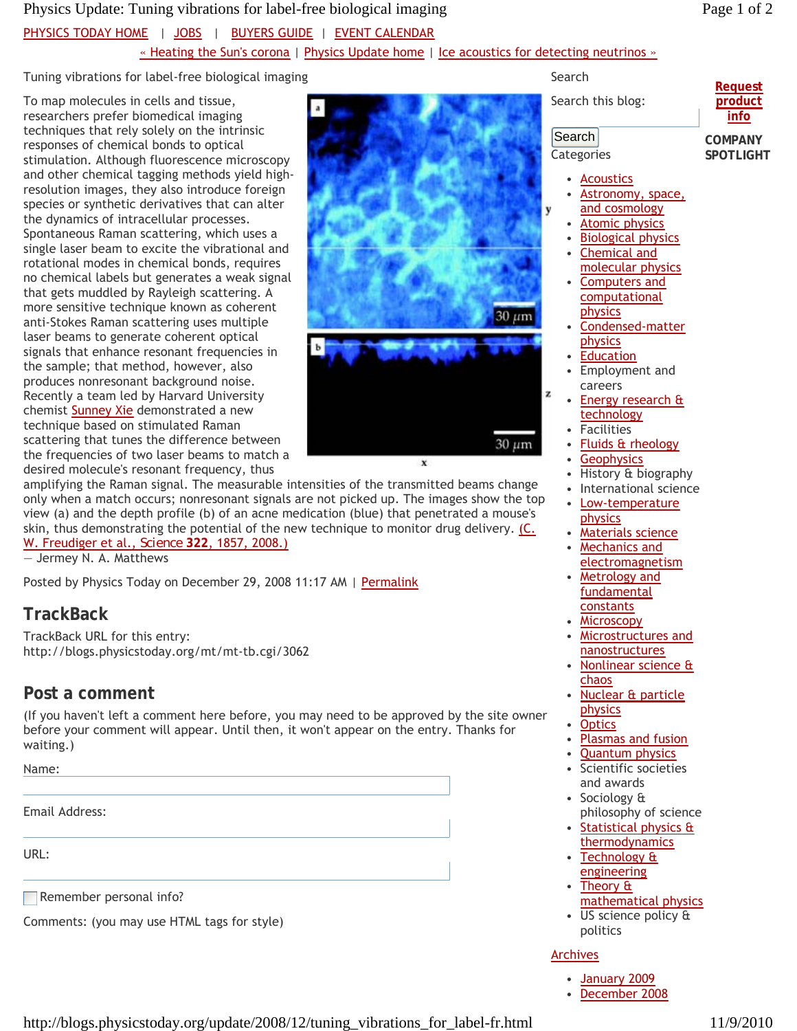### Physics Update: Tuning vibrations for label-free biological imaging Page 1 of 2

### Tuning vibrations for label-free biological imaging

To map molecules in cells and tissue, researchers prefer biomedical imaging techniques that rely solely on the intrinsic responses of chemical bonds to optical stimulation. Although fluorescence microscopy and other chemical tagging methods yield highresolution images, they also introduce foreign species or synthetic derivatives that can alter the dynamics of intracellular processes. Spontaneous Raman scattering, which uses a single laser beam to excite the vibrational and rotational modes in chemical bonds, requires no chemical labels but generates a weak signal that gets muddled by Rayleigh scattering. A more sensitive technique known as coherent anti-Stokes Raman scattering uses multiple laser beams to generate coherent optical signals that enhance resonant frequencies in the sample; that method, however, also produces nonresonant background noise. Recently a team led by Harvard University chemist Sunney Xie demonstrated a new technique based on stimulated Raman scattering that tunes the difference between the frequencies of two laser beams to match a desired molecule's resonant frequency, thus



amplifying the Raman signal. The measurable intensities of the transmitted beams change only when a match occurs; nonresonant signals are not picked up. The images show the top view (a) and the depth profile (b) of an acne medication (blue) that penetrated a mouse's skin, thus demonstrating the potential of the new technique to monitor drug delivery.  $(C_1)$ W. Freudiger et al., *Science* **322**, 1857, 2008.)

— Jermey N. A. Matthews

Posted by Physics Today on December 29, 2008 11:17 AM | Permalink

# **TrackBack**

TrackBack URL for this entry: http://blogs.physicstoday.org/mt/mt-tb.cgi/3062

# **Post a comment**

(If you haven't left a comment here before, you may need to be approved by the site owner before your comment will appear. Until then, it won't appear on the entry. Thanks for waiting.)

Name:

Email Address:

URL:

Remember personal info?

Comments: (you may use HTML tags for style)

Search

Search this blog:

**Request product info**

Search **Categories** 

v

z

**COMPANY SPOTLIGHT**

- Acoustics
- Astronomy, space, and cosmology •
- Atomic physics
- Biological physics
- Chemical and molecular physics •
- Computers and computational physics •
- Condensed-matter physics •
- **Education**
- Employment and careers
- Energy research & technology •
- **Facilities**
- **Fluids & rheology**
- **Geophysics**
- History & biography
- International science Low-temperature •
- physics
- Materials science
- Mechanics and electromagnetism •
- Metrology and fundamental constants •
- Microscopy
- Microstructures and nanostructures
- Nonlinear science & chaos
- Nuclear & particle physics •
- **Optics**
- Plasmas and fusion
- Quantum physics
- Scientific societies and awards •
- Sociology & philosophy of science •
- Statistical physics & thermodynamics • Technology & engineering •
- Theory & mathematical physics •
- US science policy & politics

### Archives

- January 2009
- December 2008